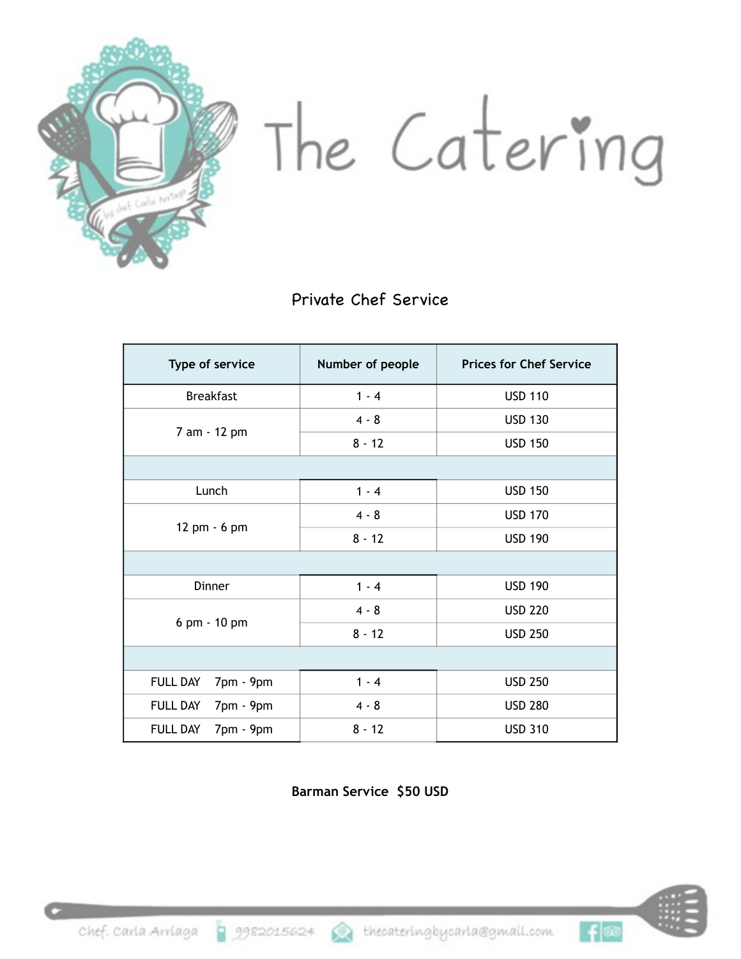

The Catering

Private Chef Service

| Type of service              | Number of people | <b>Prices for Chef Service</b> |
|------------------------------|------------------|--------------------------------|
| <b>Breakfast</b>             | $1 - 4$          | <b>USD 110</b>                 |
| 7 am - 12 pm                 | $4 - 8$          | <b>USD 130</b>                 |
|                              | $8 - 12$         | <b>USD 150</b>                 |
|                              |                  |                                |
| Lunch                        | $1 - 4$          | <b>USD 150</b>                 |
| 12 pm - 6 pm                 | $4 - 8$          | <b>USD 170</b>                 |
|                              | $8 - 12$         | <b>USD 190</b>                 |
|                              |                  |                                |
| Dinner                       | $1 - 4$          | <b>USD 190</b>                 |
| 6 pm - 10 pm                 | $4 - 8$          | <b>USD 220</b>                 |
|                              | $8 - 12$         | <b>USD 250</b>                 |
|                              |                  |                                |
| 7pm - 9pm<br><b>FULL DAY</b> | $1 - 4$          | <b>USD 250</b>                 |
| <b>FULL DAY</b><br>7pm - 9pm | $4 - 8$          | <b>USD 280</b>                 |
| <b>FULL DAY</b><br>7pm - 9pm | $8 - 12$         | <b>USD 310</b>                 |

**Barman Service \$50 USD** 



 $f$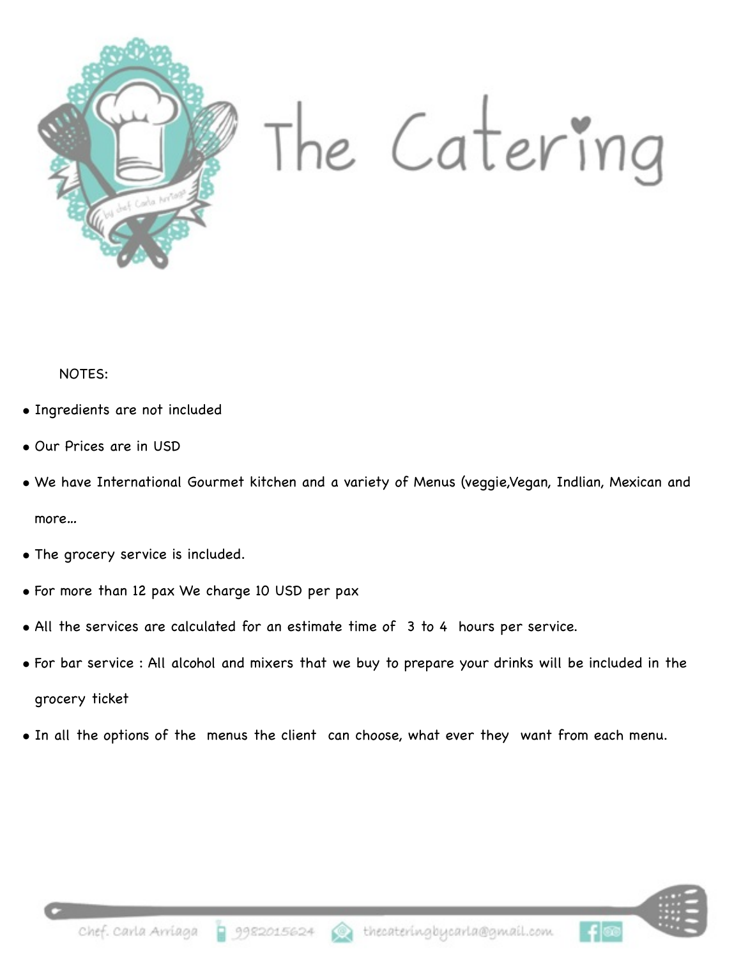

NOTES:

- Ingredients are not included
- Our Prices are in USD
- We have International Gourmet kitchen and a variety of Menus (veggie,Vegan, Indlian, Mexican and more…
- The grocery service is included.
- For more than 12 pax We charge 10 USD per pax
- All the services are calculated for an estimate time of 3 to 4 hours per service.
- For bar service : All alcohol and mixers that we buy to prepare your drinks will be included in the grocery ticket
- In all the options of the menus the client can choose, what ever they want from each menu.



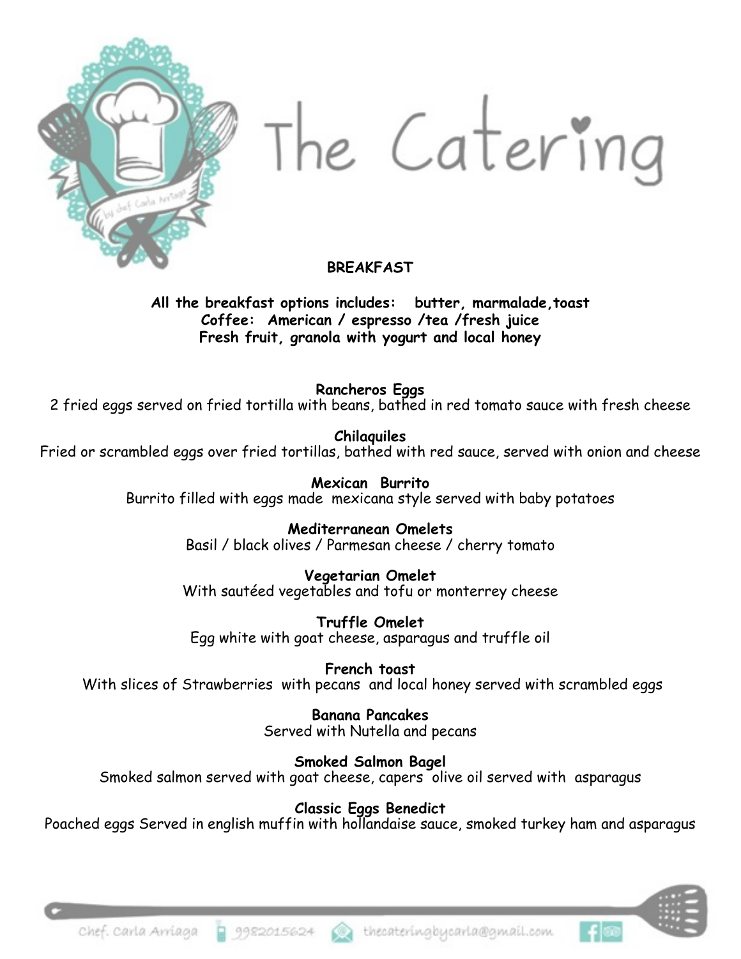

The Catering

#### **BREAKFAST**

**All the breakfast options includes: butter, marmalade,toast Coffee: American / espresso /tea /fresh juice Fresh fruit, granola with yogurt and local honey** 

**Rancheros Eggs** 

2 fried eggs served on fried tortilla with beans, bathed in red tomato sauce with fresh cheese

**Chilaquiles** 

Fried or scrambled eggs over fried tortillas, bathed with red sauce, served with onion and cheese

**Mexican Burrito**  Burrito filled with eggs made mexicana style served with baby potatoes

> **Mediterranean Omelets**  Basil / black olives / Parmesan cheese / cherry tomato

> **Vegetarian Omelet** With sautéed vegetables and tofu or monterrey cheese

**Truffle Omelet**  Egg white with goat cheese, asparagus and truffle oil

**French toast**  With slices of Strawberries with pecans and local honey served with scrambled eggs

> **Banana Pancakes** Served with Nutella and pecans

**Smoked Salmon Bagel** Smoked salmon served with goat cheese, capers olive oil served with asparagus

**Classic Eggs Benedict** 

Poached eggs Served in english muffin with hollandaise sauce, smoked turkey ham and asparagus



9982015624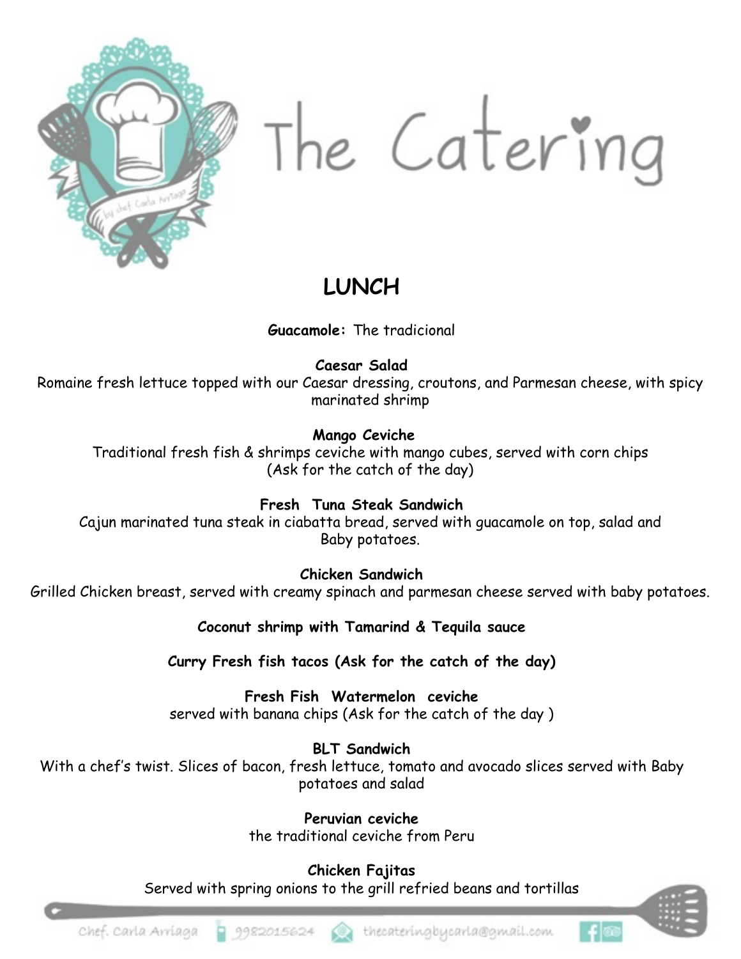

The Catering

# **LUNCH**

**Guacamole:** The tradicional

**Caesar Salad** 

Romaine fresh lettuce topped with our Caesar dressing, croutons, and Parmesan cheese, with spicy marinated shrimp

#### **Mango Ceviche**

Traditional fresh fish & shrimps ceviche with mango cubes, served with corn chips (Ask for the catch of the day)

**Fresh Tuna Steak Sandwich** 

Cajun marinated tuna steak in ciabatta bread, served with guacamole on top, salad and Baby potatoes.

**Chicken Sandwich** 

Grilled Chicken breast, served with creamy spinach and parmesan cheese served with baby potatoes.

**Coconut shrimp with Tamarind & Tequila sauce** 

**Curry Fresh fish tacos (Ask for the catch of the day)**

**Fresh Fish Watermelon ceviche**  served with banana chips (Ask for the catch of the day )

**BLT Sandwich**  With a chef's twist. Slices of bacon, fresh lettuce, tomato and avocado slices served with Baby potatoes and salad

> **Peruvian ceviche**  the traditional ceviche from Peru

**Chicken Fajitas**  Served with spring onions to the grill refried beans and tortillas



- Ք∣⊚⊚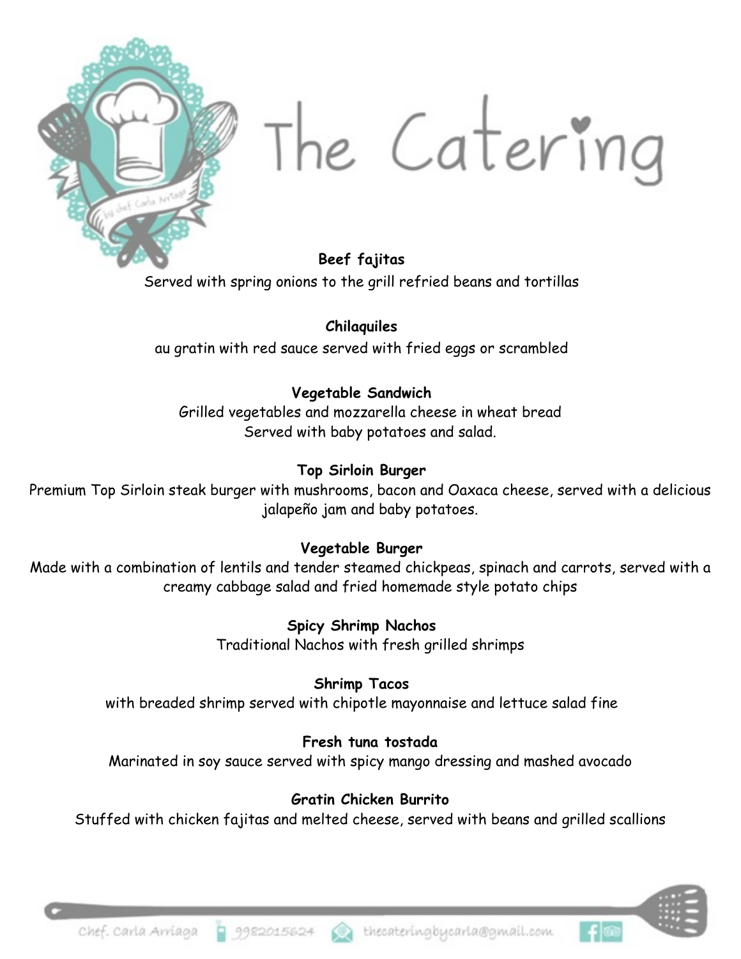

The Catering

**Beef fajitas**  Served with spring onions to the grill refried beans and tortillas

**Chilaquiles**  au gratin with red sauce served with fried eggs or scrambled

#### **Vegetable Sandwich**

Grilled vegetables and mozzarella cheese in wheat bread Served with baby potatoes and salad.

#### **Top Sirloin Burger**

Premium Top Sirloin steak burger with mushrooms, bacon and Oaxaca cheese, served with a delicious jalapeño jam and baby potatoes.

#### **Vegetable Burger**

Made with a combination of lentils and tender steamed chickpeas, spinach and carrots, served with a creamy cabbage salad and fried homemade style potato chips

> **Spicy Shrimp Nachos**  Traditional Nachos with fresh grilled shrimps

**Shrimp Tacos**  with breaded shrimp served with chipotle mayonnaise and lettuce salad fine

#### **Fresh tuna tostada**

Marinated in soy sauce served with spicy mango dressing and mashed avocado

#### **Gratin Chicken Burrito**

Stuffed with chicken fajitas and melted cheese, served with beans and grilled scallions



9982015624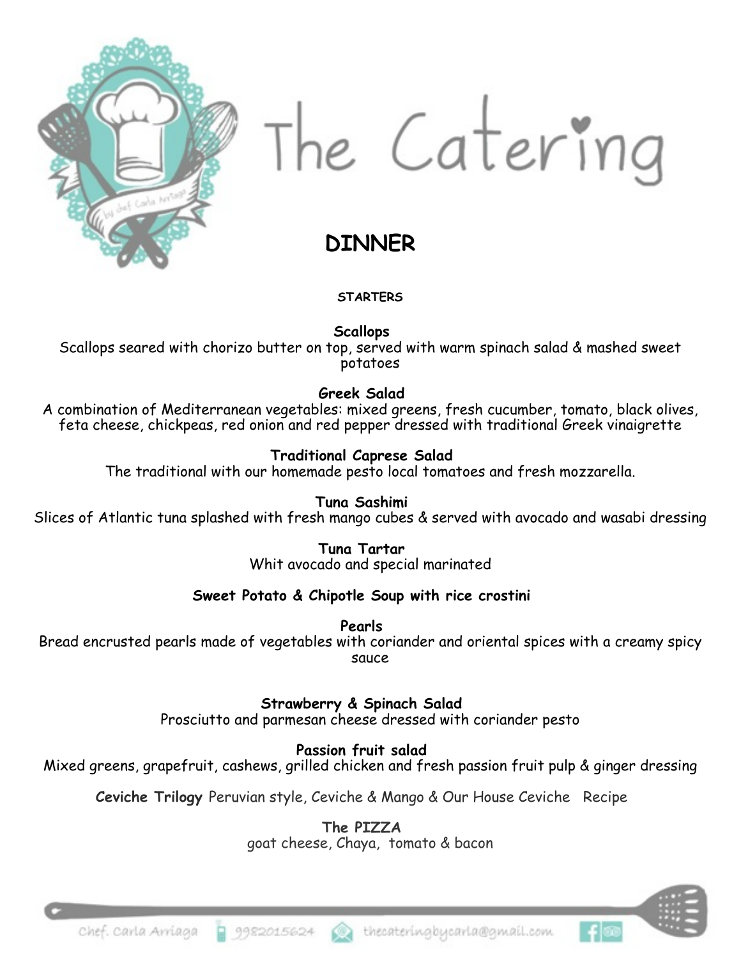

The Catering

## **DINNER**

#### **STARTERS**

**Scallops** 

Scallops seared with chorizo butter on top, served with warm spinach salad & mashed sweet potatoes

#### **Greek Salad**

A combination of Mediterranean vegetables: mixed greens, fresh cucumber, tomato, black olives, feta cheese, chickpeas, red onion and red pepper dressed with traditional Greek vinaigrette

#### **Traditional Caprese Salad**

The traditional with our homemade pesto local tomatoes and fresh mozzarella.

**Tuna Sashimi** 

Slices of Atlantic tuna splashed with fresh mango cubes & served with avocado and wasabi dressing

**Tuna Tartar**  Whit avocado and special marinated

#### **Sweet Potato & Chipotle Soup with rice crostini**

**Pearls** 

Bread encrusted pearls made of vegetables with coriander and oriental spices with a creamy spicy sauce

**Strawberry & Spinach Salad** 

Prosciutto and parmesan cheese dressed with coriander pesto

**Passion fruit salad** 

Mixed greens, grapefruit, cashews, grilled chicken and fresh passion fruit pulp & ginger dressing

**Ceviche Trilogy** Peruvian style, Ceviche & Mango & Our House Ceviche Recipe

**The PIZZA** 

goat cheese, Chaya, tomato & bacon

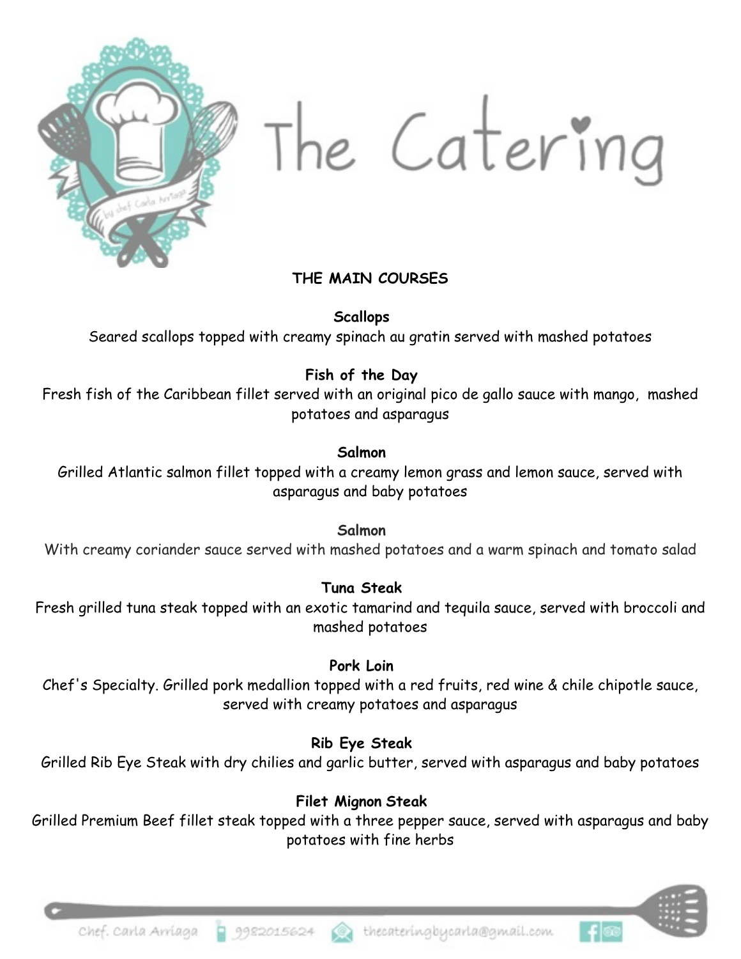

The Catering

#### **THE MAIN COURSES**

**Scallops**

Seared scallops topped with creamy spinach au gratin served with mashed potatoes

#### **Fish of the Day**

Fresh fish of the Caribbean fillet served with an original pico de gallo sauce with mango, mashed potatoes and asparagus

#### **Salmon**

Grilled Atlantic salmon fillet topped with a creamy lemon grass and lemon sauce, served with asparagus and baby potatoes

**Salmon** 

With creamy coriander sauce served with mashed potatoes and a warm spinach and tomato salad

#### **Tuna Steak**

Fresh grilled tuna steak topped with an exotic tamarind and tequila sauce, served with broccoli and mashed potatoes

#### **Pork Loin**

Chef's Specialty. Grilled pork medallion topped with a red fruits, red wine & chile chipotle sauce, served with creamy potatoes and asparagus

#### **Rib Eye Steak**

Grilled Rib Eye Steak with dry chilies and garlic butter, served with asparagus and baby potatoes

#### **Filet Mignon Steak**

Grilled Premium Beef fillet steak topped with a three pepper sauce, served with asparagus and baby potatoes with fine herbs

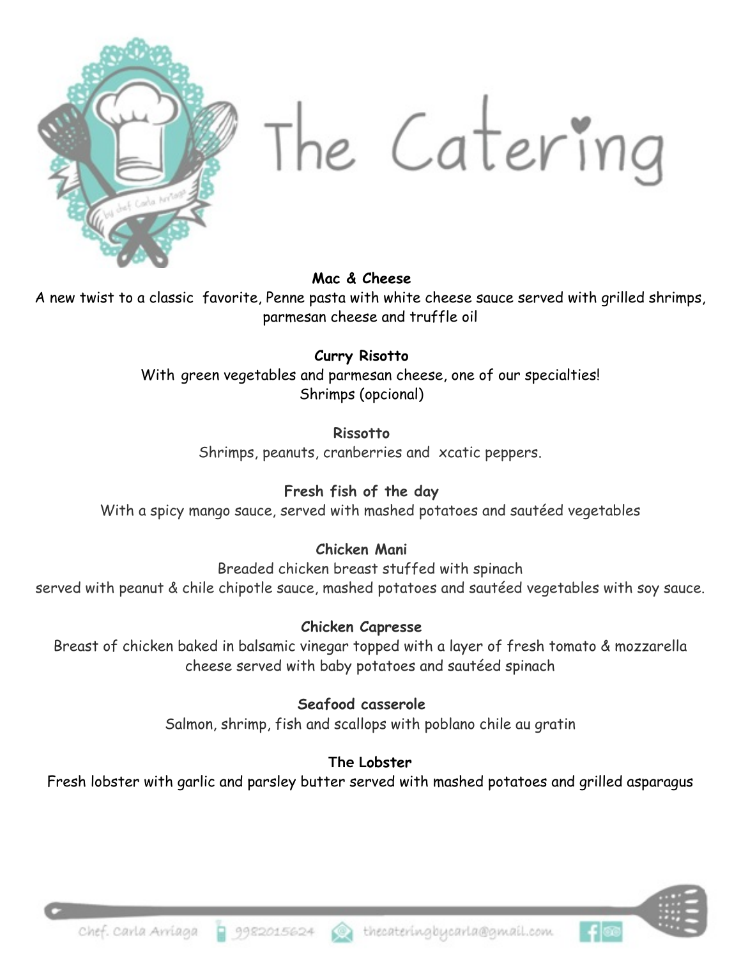

The Catering

#### **Mac & Cheese**

A new twist to a classic favorite, Penne pasta with white cheese sauce served with grilled shrimps, parmesan cheese and truffle oil

#### **Curry Risotto**

With green vegetables and parmesan cheese, one of our specialties! Shrimps (opcional)

#### **Rissotto**

Shrimps, peanuts, cranberries and xcatic peppers.

#### **Fresh fish of the day**

With a spicy mango sauce, served with mashed potatoes and sautéed vegetables

#### **Chicken Mani**

Breaded chicken breast stuffed with spinach served with peanut & chile chipotle sauce, mashed potatoes and sautéed vegetables with soy sauce.

#### **Chicken Capresse**

Breast of chicken baked in balsamic vinegar topped with a layer of fresh tomato & mozzarella cheese served with baby potatoes and sautéed spinach

## **Seafood casserole**

Salmon, shrimp, fish and scallops with poblano chile au gratin

#### **The Lobster**

Fresh lobster with garlic and parsley butter served with mashed potatoes and grilled asparagus



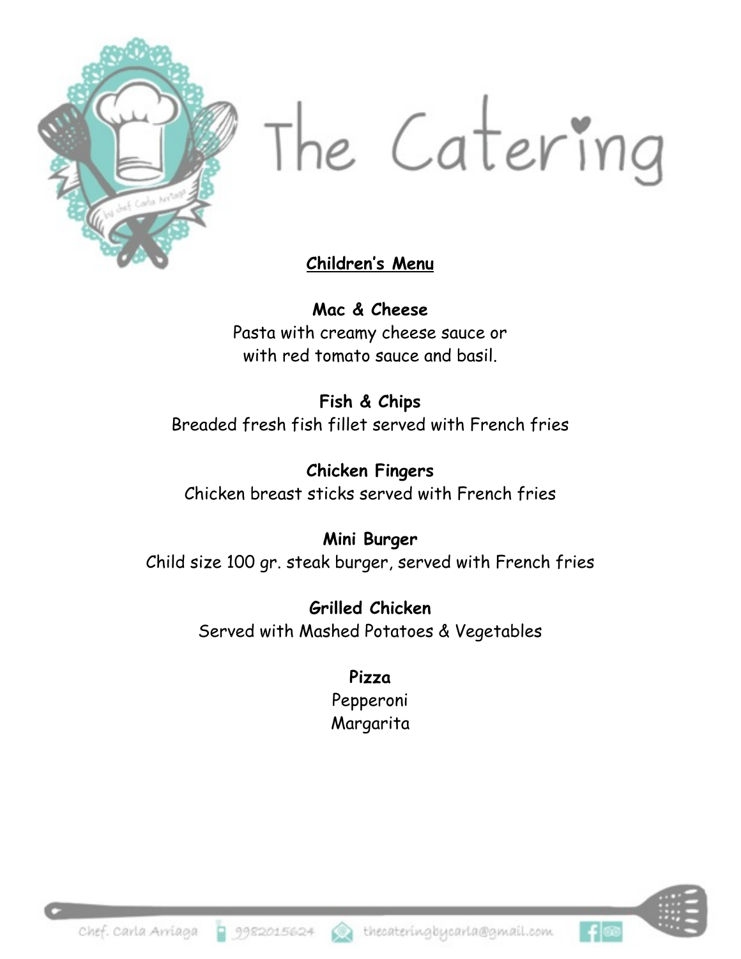

The Catering

### **Children's Menu**

**Mac & Cheese** Pasta with creamy cheese sauce or with red tomato sauce and basil.

**Fish & Chips** Breaded fresh fish fillet served with French fries

**Chicken Fingers**  Chicken breast sticks served with French fries

**Mini Burger**  Child size 100 gr. steak burger, served with French fries

> **Grilled Chicken** Served with Mashed Potatoes & Vegetables

> > **Pizza**  Pepperoni **Margarita**



ା-⊧ା®

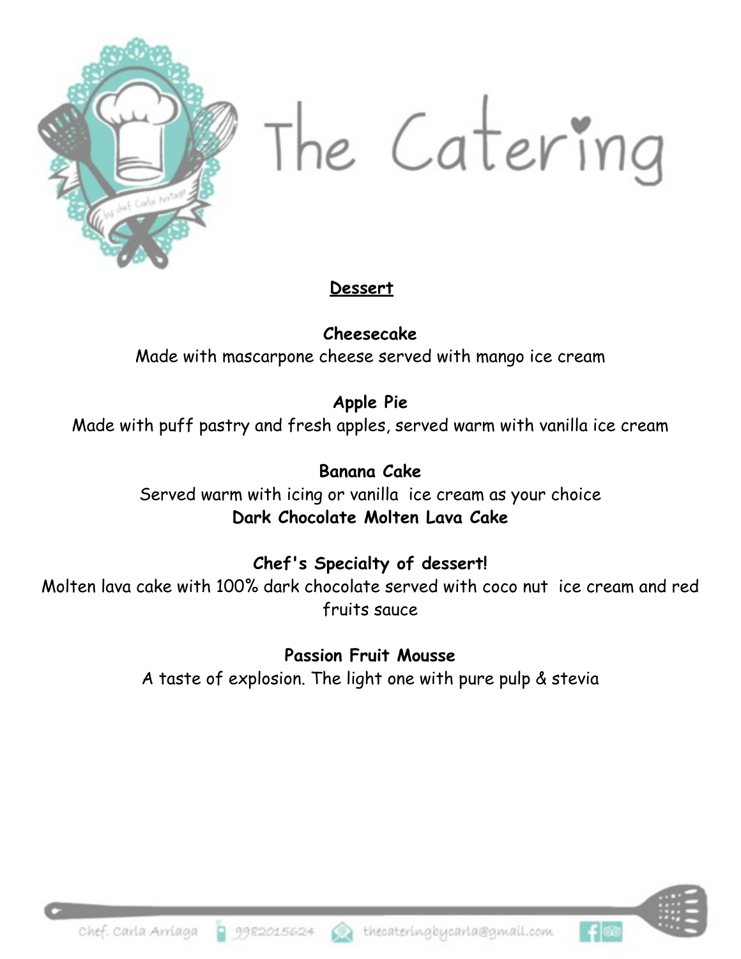

The Catering

### **Dessert**

**Cheesecake**  Made with mascarpone cheese served with mango ice cream

## **Apple Pie**

Made with puff pastry and fresh apples, served warm with vanilla ice cream

# **Banana Cake**

Served warm with icing or vanilla ice cream as your choice **Dark Chocolate Molten Lava Cake** 

## **Chef's Specialty of dessert!**

Molten lava cake with 100% dark chocolate served with coco nut ice cream and red fruits sauce

> **Passion Fruit Mousse**  A taste of explosion. The light one with pure pulp & stevia



 $+ \infty$ 

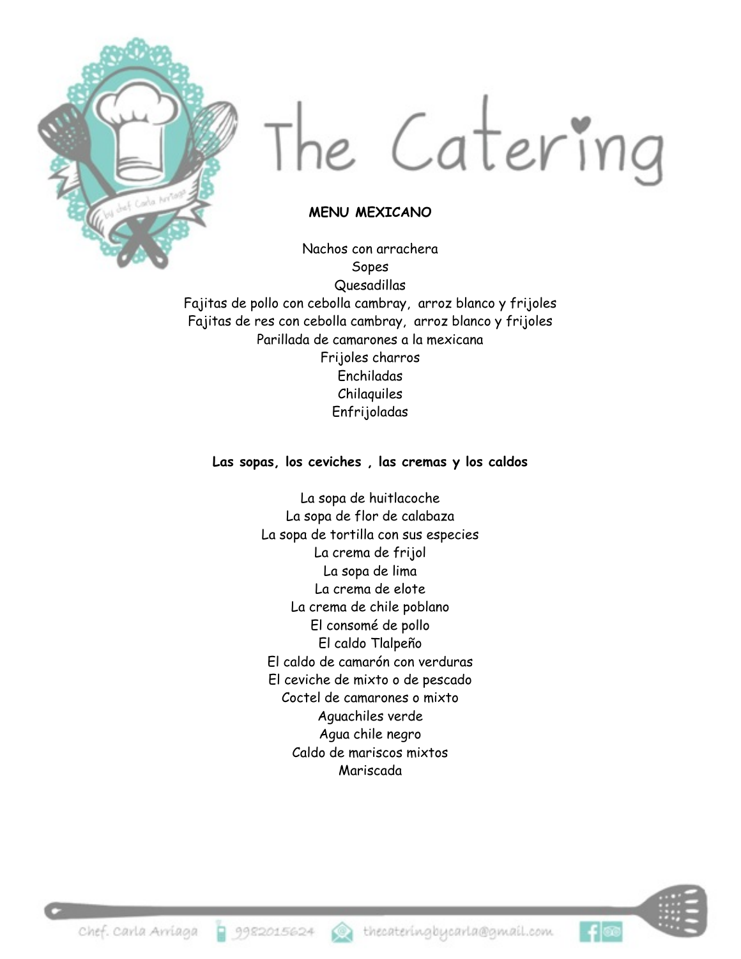

# The Catering

#### **MENU MEXICANO**

Nachos con arrachera Sopes Quesadillas Fajitas de pollo con cebolla cambray, arroz blanco y frijoles Fajitas de res con cebolla cambray, arroz blanco y frijoles Parillada de camarones a la mexicana Frijoles charros Enchiladas Chilaquiles Enfrijoladas

#### **Las sopas, los ceviches , las cremas y los caldos**

La sopa de huitlacoche La sopa de flor de calabaza La sopa de tortilla con sus especies La crema de frijol La sopa de lima La crema de elote La crema de chile poblano El consomé de pollo El caldo Tlalpeño El caldo de camarón con verduras El ceviche de mixto o de pescado Coctel de camarones o mixto Aguachiles verde Agua chile negro Caldo de mariscos mixtos Mariscada



ା ≨∣®ଭ